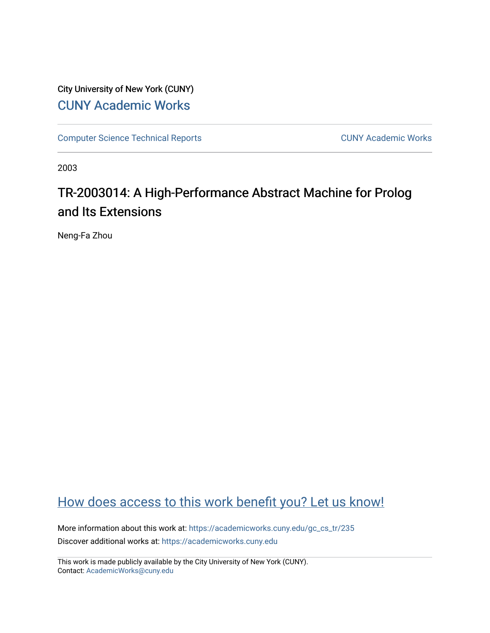City University of New York (CUNY) [CUNY Academic Works](https://academicworks.cuny.edu/) 

[Computer Science Technical Reports](https://academicworks.cuny.edu/gc_cs_tr) **CUNY Academic Works** CUNY Academic Works

2003

# TR-2003014: A High-Performance Abstract Machine for Prolog and Its Extensions

Neng-Fa Zhou

# [How does access to this work benefit you? Let us know!](http://ols.cuny.edu/academicworks/?ref=https://academicworks.cuny.edu/gc_cs_tr/235)

More information about this work at: [https://academicworks.cuny.edu/gc\\_cs\\_tr/235](https://academicworks.cuny.edu/gc_cs_tr/235)  Discover additional works at: [https://academicworks.cuny.edu](https://academicworks.cuny.edu/?)

This work is made publicly available by the City University of New York (CUNY). Contact: [AcademicWorks@cuny.edu](mailto:AcademicWorks@cuny.edu)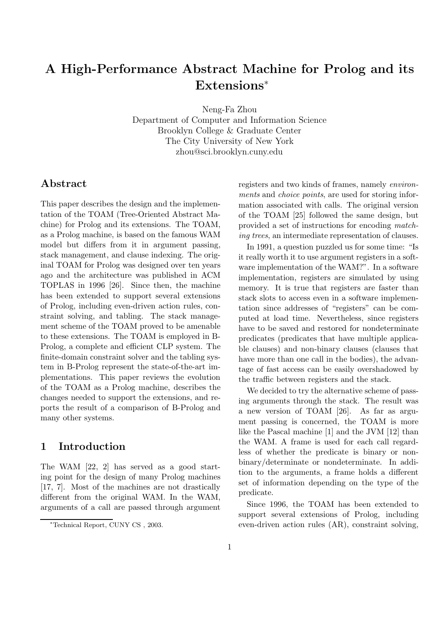# **A High-Performance Abstract Machine for Prolog and its Extensions**<sup>∗</sup>

Neng-Fa Zhou

Department of Computer and Information Science Brooklyn College & Graduate Center The City University of New York zhou@sci.brooklyn.cuny.edu

# **Abstract**

This paper describes the design and the implementation of the TOAM (Tree-Oriented Abstract Machine) for Prolog and its extensions. The TOAM, as a Prolog machine, is based on the famous WAM model but differs from it in argument passing, stack management, and clause indexing. The original TOAM for Prolog was designed over ten years ago and the architecture was published in ACM TOPLAS in 1996 [26]. Since then, the machine has been extended to support several extensions of Prolog, including even-driven action rules, constraint solving, and tabling. The stack management scheme of the TOAM proved to be amenable to these extensions. The TOAM is employed in B-Prolog, a complete and efficient CLP system. The finite-domain constraint solver and the tabling system in B-Prolog represent the state-of-the-art implementations. This paper reviews the evolution of the TOAM as a Prolog machine, describes the changes needed to support the extensions, and reports the result of a comparison of B-Prolog and many other systems.

# **1 Introduction**

The WAM [22, 2] has served as a good starting point for the design of many Prolog machines [17, 7]. Most of the machines are not drastically different from the original WAM. In the WAM, arguments of a call are passed through argument registers and two kinds of frames, namely *environments* and *choice points*, are used for storing information associated with calls. The original version of the TOAM [25] followed the same design, but provided a set of instructions for encoding *matching trees*, an intermediate representation of clauses.

In 1991, a question puzzled us for some time: "Is it really worth it to use argument registers in a software implementation of the WAM?". In a software implementation, registers are simulated by using memory. It is true that registers are faster than stack slots to access even in a software implementation since addresses of "registers" can be computed at load time. Nevertheless, since registers have to be saved and restored for nondeterminate predicates (predicates that have multiple applicable clauses) and non-binary clauses (clauses that have more than one call in the bodies), the advantage of fast access can be easily overshadowed by the traffic between registers and the stack.

We decided to try the alternative scheme of passing arguments through the stack. The result was a new version of TOAM [26]. As far as argument passing is concerned, the TOAM is more like the Pascal machine [1] and the JVM [12] than the WAM. A frame is used for each call regardless of whether the predicate is binary or nonbinary/determinate or nondeterminate. In addition to the arguments, a frame holds a different set of information depending on the type of the predicate.

Since 1996, the TOAM has been extended to support several extensions of Prolog, including even-driven action rules (AR), constraint solving,

<sup>∗</sup>Technical Report, CUNY CS , 2003.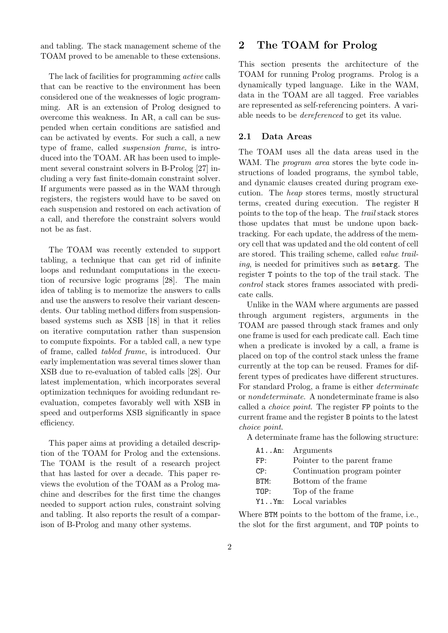and tabling. The stack management scheme of the TOAM proved to be amenable to these extensions.

The lack of facilities for programming *active* calls that can be reactive to the environment has been considered one of the weaknesses of logic programming. AR is an extension of Prolog designed to overcome this weakness. In AR, a call can be suspended when certain conditions are satisfied and can be activated by events. For such a call, a new type of frame, called *suspension frame*, is introduced into the TOAM. AR has been used to implement several constraint solvers in B-Prolog [27] including a very fast finite-domain constraint solver. If arguments were passed as in the WAM through registers, the registers would have to be saved on each suspension and restored on each activation of a call, and therefore the constraint solvers would not be as fast.

The TOAM was recently extended to support tabling, a technique that can get rid of infinite loops and redundant computations in the execution of recursive logic programs [28]. The main idea of tabling is to memorize the answers to calls and use the answers to resolve their variant descendents. Our tabling method differs from suspensionbased systems such as XSB [18] in that it relies on iterative computation rather than suspension to compute fixpoints. For a tabled call, a new type of frame, called *tabled frame*, is introduced. Our early implementation was several times slower than XSB due to re-evaluation of tabled calls [28]. Our latest implementation, which incorporates several optimization techniques for avoiding redundant reevaluation, competes favorably well with XSB in speed and outperforms XSB significantly in space efficiency.

This paper aims at providing a detailed description of the TOAM for Prolog and the extensions. The TOAM is the result of a research project that has lasted for over a decade. This paper reviews the evolution of the TOAM as a Prolog machine and describes for the first time the changes needed to support action rules, constraint solving and tabling. It also reports the result of a comparison of B-Prolog and many other systems.

### **2 The TOAM for Prolog**

This section presents the architecture of the TOAM for running Prolog programs. Prolog is a dynamically typed language. Like in the WAM, data in the TOAM are all tagged. Free variables are represented as self-referencing pointers. A variable needs to be *dereferenced* to get its value.

#### **2.1 Data Areas**

The TOAM uses all the data areas used in the WAM. The *program area* stores the byte code instructions of loaded programs, the symbol table, and dynamic clauses created during program execution. The *heap* stores terms, mostly structural terms, created during execution. The register H points to the top of the heap. The *trail* stack stores those updates that must be undone upon backtracking. For each update, the address of the memory cell that was updated and the old content of cell are stored. This trailing scheme, called *value trailing*, is needed for primitives such as setarg. The register T points to the top of the trail stack. The *control* stack stores frames associated with predicate calls.

Unlike in the WAM where arguments are passed through argument registers, arguments in the TOAM are passed through stack frames and only one frame is used for each predicate call. Each time when a predicate is invoked by a call, a frame is placed on top of the control stack unless the frame currently at the top can be reused. Frames for different types of predicates have different structures. For standard Prolog, a frame is either *determinate* or *nondeterminate*. A nondeterminate frame is also called a *choice point*. The register FP points to the current frame and the register B points to the latest *choice point*.

A determinate frame has the following structure:

|      | $A1An:$ Arguments            |
|------|------------------------------|
| FP:  | Pointer to the parent frame. |
| CP:  | Continuation program pointer |
| BTM: | Bottom of the frame          |
| TOP: | Top of the frame             |
|      | Y1Ym: Local variables        |

Where BTM points to the bottom of the frame, i.e., the slot for the first argument, and TOP points to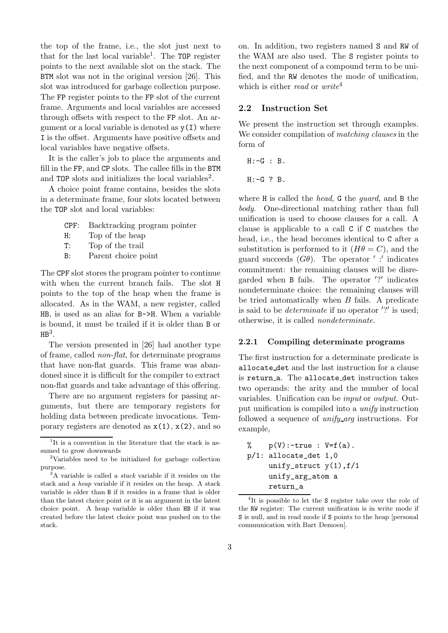the top of the frame, i.e., the slot just next to that for the last local variable<sup>1</sup>. The  $TOP$  register points to the next available slot on the stack. The BTM slot was not in the original version [26]. This slot was introduced for garbage collection purpose. The FP register points to the FP slot of the current frame. Arguments and local variables are accessed through offsets with respect to the FP slot. An argument or a local variable is denoted as  $y(1)$  where I is the offset. Arguments have positive offsets and local variables have negative offsets.

It is the caller's job to place the arguments and fill in the FP, and CP slots. The callee fills in the BTM and TOP slots and initializes the local variables<sup>2</sup>.

A choice point frame contains, besides the slots in a determinate frame, four slots located between the TOP slot and local variables:

- CPF: Backtracking program pointer
- H: Top of the heap
- T: Top of the trail
- B: Parent choice point

The CPF slot stores the program pointer to continue with when the current branch fails. The slot H points to the top of the heap when the frame is allocated. As in the WAM, a new register, called HB, is used as an alias for B->H. When a variable is bound, it must be trailed if it is older than B or  $HB<sup>3</sup>$ .

The version presented in [26] had another type of frame, called *non-flat*, for determinate programs that have non-flat guards. This frame was abandoned since it is difficult for the compiler to extract non-flat guards and take advantage of this offering.

There are no argument registers for passing arguments, but there are temporary registers for holding data between predicate invocations. Temporary registers are denoted as  $x(1)$ ,  $x(2)$ , and so on. In addition, two registers named S and RW of the WAM are also used. The S register points to the next component of a compound term to be unified, and the RW denotes the mode of unification, which is either *read* or *write*<sup>4</sup>

#### **2.2 Instruction Set**

We present the instruction set through examples. We consider compilation of *matching clauses* in the form of

 $H: -G : B$ .

 $H: -G$  ? B.

where H is called the *head*, G the *guard*, and B the *body*. One-directional matching rather than full unification is used to choose clauses for a call. A clause is applicable to a call C if C matches the head, i.e., the head becomes identical to C after a substitution is performed to it  $(H\theta = C)$ , and the guard succeeds  $(G\theta)$ . The operator ':' indicates commitment: the remaining clauses will be disregarded when B fails. The operator '?' indicates nondeterminate choice: the remaining clauses will be tried automatically when  $B$  fails. A predicate is said to be *determinate* if no operator '?' is used; otherwise, it is called *nondeterminate*.

#### **2.2.1 Compiling determinate programs**

The first instruction for a determinate predicate is allocate det and the last instruction for a clause is return\_a. The allocate\_det instruction takes two operands: the arity and the number of local variables. Unification can be *input* or *output*. Output unification is compiled into a *unify* instruction followed a sequence of *unify arg* instructions. For example,

```
\% p(V):-true : V=f(a).
p/1: allocate_det 1,0
     unify_struct y(1), f/1
     unify_arg_atom a
     return_a
```
<sup>4</sup>It is possible to let the S register take over the role of the RW register: The current unification is in write mode if S is null, and in read mode if S points to the heap [personal] communication with Bart Demoen].

 $1$ <sup>1</sup>It is a convention in the literature that the stack is assumed to grow downwards

<sup>2</sup>Variables need to be initialized for garbage collection purpose.

<sup>3</sup>A variable is called a *stack* variable if it resides on the stack and a *heap* variable if it resides on the heap. A stack variable is older than B if it resides in a frame that is older than the latest choice point or it is an argument in the latest choice point. A heap variable is older than HB if it was created before the latest choice point was pushed on to the stack.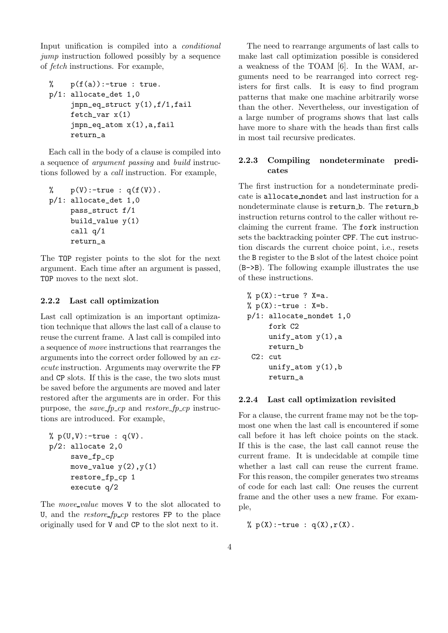Input unification is compiled into a *conditional jump* instruction followed possibly by a sequence of *fetch* instructions. For example,

```
% p(f(a)):-true : true.
p/1: allocate_det 1,0
     jmpn_eq_struct y(1),f/1,fail
     fetch_var x(1)
     jmpn_eq_atom x(1),a,fail
     return_a
```
Each call in the body of a clause is compiled into a sequence of *argument passing* and *build* instructions followed by a *call* instruction. For example,

```
\% p(V):-true : q(f(V)).
p/1: allocate_det 1,0
     pass_struct f/1
     build_value y(1)
     call q/1
     return_a
```
The TOP register points to the slot for the next argument. Each time after an argument is passed, TOP moves to the next slot.

#### **2.2.2 Last call optimization**

Last call optimization is an important optimization technique that allows the last call of a clause to reuse the current frame. A last call is compiled into a sequence of *move* instructions that rearranges the arguments into the correct order followed by an *execute* instruction. Arguments may overwrite the FP and CP slots. If this is the case, the two slots must be saved before the arguments are moved and later restored after the arguments are in order. For this purpose, the *save fp cp* and *restore fp cp* instructions are introduced. For example,

```
% p(U,V):-true : q(V).p/2: allocate 2,0
     save_fp_cp
     move_value y(2), y(1)restore_fp_cp 1
     execute q/2
```
The *move\_value* moves V to the slot allocated to U, and the *restore fp cp* restores FP to the place originally used for V and CP to the slot next to it.

The need to rearrange arguments of last calls to make last call optimization possible is considered a weakness of the TOAM [6]. In the WAM, arguments need to be rearranged into correct registers for first calls. It is easy to find program patterns that make one machine arbitrarily worse than the other. Nevertheless, our investigation of a large number of programs shows that last calls have more to share with the heads than first calls in most tail recursive predicates.

#### **2.2.3 Compiling nondeterminate predicates**

The first instruction for a nondeterminate predicate is allocate nondet and last instruction for a nondeterminate clause is return b. The return b instruction returns control to the caller without reclaiming the current frame. The fork instruction sets the backtracking pointer CPF. The cut instruction discards the current choice point, i.e., resets the B register to the B slot of the latest choice point (B->B). The following example illustrates the use of these instructions.

```
% p(X):-true ? X=a.
% p(X):-true : X=b.p/1: allocate_nondet 1,0
     fork C2
     unify_atom y(1), a
     return_b
C2: cut
     unify_atom y(1), b
     return_a
```
#### **2.2.4 Last call optimization revisited**

For a clause, the current frame may not be the topmost one when the last call is encountered if some call before it has left choice points on the stack. If this is the case, the last call cannot reuse the current frame. It is undecidable at compile time whether a last call can reuse the current frame. For this reason, the compiler generates two streams of code for each last call: One reuses the current frame and the other uses a new frame. For example,

 $\% p(X)$ :-true : q(X),  $r(X)$ .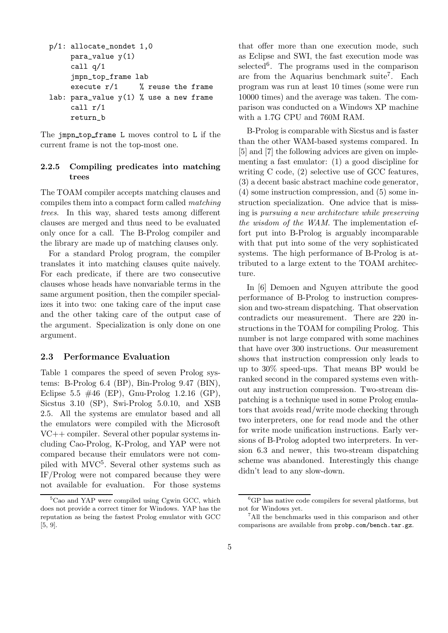```
p/1: allocate_nondet 1,0
     para_value y(1)
     call q/1
     jmpn_top_frame lab
     execute r/1 % reuse the frame
lab: para_value y(1) % use a new frame
     call r/1
     return_b
```
The jmpn\_top\_frame L moves control to L if the current frame is not the top-most one.

#### **2.2.5 Compiling predicates into matching trees**

The TOAM compiler accepts matching clauses and compiles them into a compact form called *matching trees*. In this way, shared tests among different clauses are merged and thus need to be evaluated only once for a call. The B-Prolog compiler and the library are made up of matching clauses only.

For a standard Prolog program, the compiler translates it into matching clauses quite naively. For each predicate, if there are two consecutive clauses whose heads have nonvariable terms in the same argument position, then the compiler specializes it into two: one taking care of the input case and the other taking care of the output case of the argument. Specialization is only done on one argument.

#### **2.3 Performance Evaluation**

Table 1 compares the speed of seven Prolog systems: B-Prolog 6.4 (BP), Bin-Prolog 9.47 (BIN), Eclipse 5.5  $\#46$  (EP), Gnu-Prolog 1.2.16 (GP), Sicstus 3.10 (SP), Swi-Prolog 5.0.10, and XSB 2.5. All the systems are emulator based and all the emulators were compiled with the Microsoft VC++ compiler. Several other popular systems including Cao-Prolog, K-Prolog, and YAP were not compared because their emulators were not compiled with MVC5. Several other systems such as IF/Prolog were not compared because they were not available for evaluation. For those systems

that offer more than one execution mode, such as Eclipse and SWI, the fast execution mode was selected<sup>6</sup>. The programs used in the comparison are from the Aquarius benchmark suite<sup>7</sup>. Each program was run at least 10 times (some were run 10000 times) and the average was taken. The comparison was conducted on a Windows XP machine with a 1.7G CPU and 760M RAM.

B-Prolog is comparable with Sicstus and is faster than the other WAM-based systems compared. In [5] and [7] the following advices are given on implementing a fast emulator: (1) a good discipline for writing C code, (2) selective use of GCC features, (3) a decent basic abstract machine code generator, (4) some instruction compression, and (5) some instruction specialization. One advice that is missing is *pursuing a new architecture while preserving the wisdom of the WAM*. The implementation effort put into B-Prolog is arguably incomparable with that put into some of the very sophisticated systems. The high performance of B-Prolog is attributed to a large extent to the TOAM architecture.

In [6] Demoen and Nguyen attribute the good performance of B-Prolog to instruction compression and two-stream dispatching. That observation contradicts our measurement. There are 220 instructions in the TOAM for compiling Prolog. This number is not large compared with some machines that have over 300 instructions. Our measurement shows that instruction compression only leads to up to 30% speed-ups. That means BP would be ranked second in the compared systems even without any instruction compression. Two-stream dispatching is a technique used in some Prolog emulators that avoids read/write mode checking through two interpreters, one for read mode and the other for write mode unification instructions. Early versions of B-Prolog adopted two interpreters. In version 6.3 and newer, this two-stream dispatching scheme was abandoned. Interestingly this change didn't lead to any slow-down.

<sup>5</sup>Cao and YAP were compiled using Cgwin GCC, which does not provide a correct timer for Windows. YAP has the reputation as being the fastest Prolog emulator with GCC [5, 9].

<sup>6</sup>GP has native code compilers for several platforms, but not for Windows yet.

<sup>7</sup>All the benchmarks used in this comparison and other comparisons are available from probp.com/bench.tar.gz.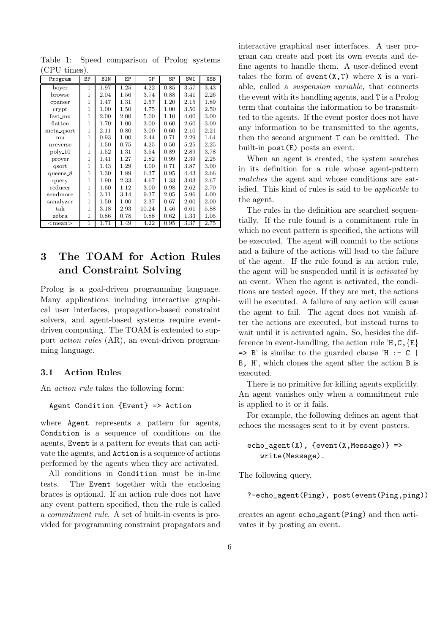| $\cup$ $\cup$ $\cup$ $\cup$ $\cup$ $\cup$ $\cup$ $\cup$ |    |      |      |       |          |      |      |
|---------------------------------------------------------|----|------|------|-------|----------|------|------|
| Program                                                 | ΒP | BIN  | ЕP   | GP    | SP       | SWI  | XSB  |
| boyer                                                   | 1  | 1.97 | 1.25 | 4.22  | 0.85     | 3.57 | 3.43 |
| browse                                                  | 1  | 2.04 | 1.56 | 3.74  | 0.88     | 3.41 | 2.26 |
| cparser                                                 | 1  | 1.47 | 1.31 | 2.57  | 1.20     | 2.15 | 1.89 |
| crypt                                                   | 1  | 1.00 | 1.50 | 4.75  | 1.00     | 3.50 | 2.50 |
| fast_mu                                                 | 1  | 2.00 | 2.00 | 5.00  | 1.10     | 4.00 | 3.00 |
| $\text{flatten}$                                        | 1  | 1.70 | 1.00 | 3.00  | 0.60     | 2.60 | 3.00 |
| meta qsort                                              | 1  | 2.11 | 0.80 | 3.00  | 0.60     | 2.10 | 2.21 |
| mu                                                      | 1  | 0.93 | 1.00 | 2.44  | 0.71     | 2.29 | 1.64 |
| nreverse                                                | 1  | 1.50 | 0.75 | 4.25  | 0.50     | 5.25 | 2.25 |
| poly 10                                                 | 1  | 1.52 | 1.31 | 3.54  | 0.89     | 2.89 | 3.78 |
| prover                                                  | 1  | 1.41 | 1.27 | 2.82  | 0.99     | 2.39 | 2.25 |
| qsort                                                   | 1  | 1.43 | 1.29 | 4.00  | 0.71     | 3.87 | 3.00 |
| queens $8$                                              | 1  | 1.30 | 1.89 | 6.37  | 0.95     | 4.43 | 2.66 |
| query                                                   | 1  | 1.90 | 2.33 | 4.67  | 1.33     | 3.03 | 2.67 |
| reducer                                                 | 1  | 1.60 | 1.12 | 3.00  | 0.98     | 2.62 | 2.70 |
| sendmore                                                | 1  | 3.11 | 3.14 | 9.37  | $2.05\,$ | 5.96 | 4.00 |
| sanalyzer                                               | 1  | 1.50 | 1.00 | 2.37  | 0.67     | 2.00 | 2.00 |
| $_{\rm tak}$                                            | 1  | 3.18 | 2.93 | 10.24 | 1.46     | 6.61 | 5.88 |
| zebra                                                   | 1  | 0.86 | 0.78 | 0.88  | 0.62     | 1.33 | 1.05 |
| $<$ mean $>$                                            | 1  | 1.71 | 1.49 | 4.22  | 0.95     | 3.37 | 2.75 |

Table 1: Speed comparison of Prolog systems  $(CPII time)$ 

# **3 The TOAM for Action Rules and Constraint Solving**

Prolog is a goal-driven programming language. Many applications including interactive graphical user interfaces, propagation-based constraint solvers, and agent-based systems require eventdriven computing. The TOAM is extended to support *action rules* (AR), an event-driven programming language.

#### **3.1 Action Rules**

An *action rule* takes the following form:

#### Agent Condition {Event} => Action

where Agent represents a pattern for agents, Condition is a sequence of conditions on the agents, Event is a pattern for events that can activate the agents, and Action is a sequence of actions performed by the agents when they are activated.

All conditions in Condition must be in-line tests. The Event together with the enclosing braces is optional. If an action rule does not have any event pattern specified, then the rule is called a *commitment rule*. A set of built-in events is provided for programming constraint propagators and

interactive graphical user interfaces. A user program can create and post its own events and define agents to handle them. A user-defined event takes the form of  $event(X,T)$  where X is a variable, called a *suspension variable*, that connects the event with its handling agents, and T is a Prolog term that contains the information to be transmitted to the agents. If the event poster does not have any information to be transmitted to the agents, then the second argument T can be omitted. The built-in post(E) posts an event.

When an agent is created, the system searches in its definition for a rule whose agent-pattern *matches* the agent and whose conditions are satisfied. This kind of rules is said to be *applicable* to the agent.

The rules in the definition are searched sequentially. If the rule found is a commitment rule in which no event pattern is specified, the actions will be executed. The agent will commit to the actions and a failure of the actions will lead to the failure of the agent. If the rule found is an action rule, the agent will be suspended until it is *activated* by an event. When the agent is activated, the conditions are tested *again*. If they are met, the actions will be executed. A failure of any action will cause the agent to fail. The agent does not vanish after the actions are executed, but instead turns to wait until it is activated again. So, besides the difference in event-handling, the action rule  $H, C, \{E\}$  $\Rightarrow$  B' is similar to the guarded clause 'H :- C | B, H', which clones the agent after the action B is executed.

There is no primitive for killing agents explicitly. An agent vanishes only when a commitment rule is applied to it or it fails.

For example, the following defines an agent that echoes the messages sent to it by event posters.

 $echo\_agent(X)$ ,  $\{event(X, Message)\}$  => write(Message).

The following query,

```
?-echo_agent(Ping), post(event(Ping,ping))
```
creates an agent echo agent(Ping) and then activates it by posting an event.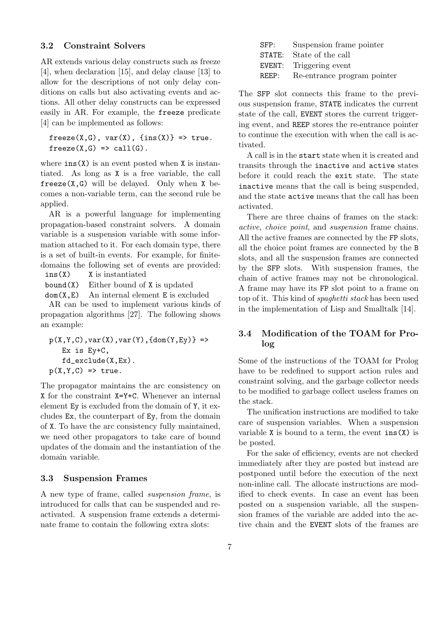#### **3.2 Constraint Solvers**

AR extends various delay constructs such as freeze [4], when declaration [15], and delay clause [13] to allow for the descriptions of not only delay conditions on calls but also activating events and actions. All other delay constructs can be expressed easily in AR. For example, the freeze predicate [4] can be implemented as follows:

```
freeze(X,G), var(X), {ins(X)} > rfreeze(X,G) \Rightarrow call(G).
```
where  $ins(X)$  is an event posted when X is instantiated. As long as X is a free variable, the call freeze $(X, G)$  will be delayed. Only when X becomes a non-variable term, can the second rule be applied.

AR is a powerful language for implementing propagation-based constraint solvers. A domain variable is a suspension variable with some information attached to it. For each domain type, there is a set of built-in events. For example, for finitedomains the following set of events are provided:

ins(X) X is instantiated

 $bound(X)$  Either bound of X is updated

 $dom(X, E)$  An internal element E is excluded

AR can be used to implement various kinds of propagation algorithms [27]. The following shows an example:

```
p(X,Y,C), var(X), var(Y), {dom(Y,Ey)} =>
   Ex is Ey+C,
   fd_exclude(X,Ex).
p(X, Y, C) \implies true.
```
The propagator maintains the arc consistency on X for the constraint X=Y+C. Whenever an internal element Ey is excluded from the domain of Y, it excludes Ex, the counterpart of Ey, from the domain of X. To have the arc consistency fully maintained, we need other propagators to take care of bound updates of the domain and the instantiation of the domain variable.

#### **3.3 Suspension Frames**

A new type of frame, called *suspension frame*, is introduced for calls that can be suspended and reactivated. A suspension frame extends a determinate frame to contain the following extra slots:

| Suspension frame pointer    |
|-----------------------------|
| State of the call<br>STATE: |
| EVENT: Triggering event     |
| Re-entrance program pointer |
|                             |

The SFP slot connects this frame to the previous suspension frame, STATE indicates the current state of the call, EVENT stores the current triggering event, and REEP stores the re-entrance pointer to continue the execution with when the call is activated.

A call is in the start state when it is created and transits through the inactive and active states before it could reach the exit state. The state inactive means that the call is being suspended, and the state active means that the call has been activated.

There are three chains of frames on the stack: *active*, *choice point*, and *suspension* frame chains. All the active frames are connected by the FP slots, all the choice point frames are connected by the B slots, and all the suspension frames are connected by the SFP slots. With suspension frames, the chain of active frames may not be chronological. A frame may have its FP slot point to a frame on top of it. This kind of *spaghetti stack* has been used in the implementation of Lisp and Smalltalk [14].

### **3.4 Modification of the TOAM for Prolog**

Some of the instructions of the TOAM for Prolog have to be redefined to support action rules and constraint solving, and the garbage collector needs to be modified to garbage collect useless frames on the stack.

The unification instructions are modified to take care of suspension variables. When a suspension variable X is bound to a term, the event  $ins(X)$  is be posted.

For the sake of efficiency, events are not checked immediately after they are posted but instead are postponed until before the execution of the next non-inline call. The allocate instructions are modified to check events. In case an event has been posted on a suspension variable, all the suspension frames of the variable are added into the active chain and the EVENT slots of the frames are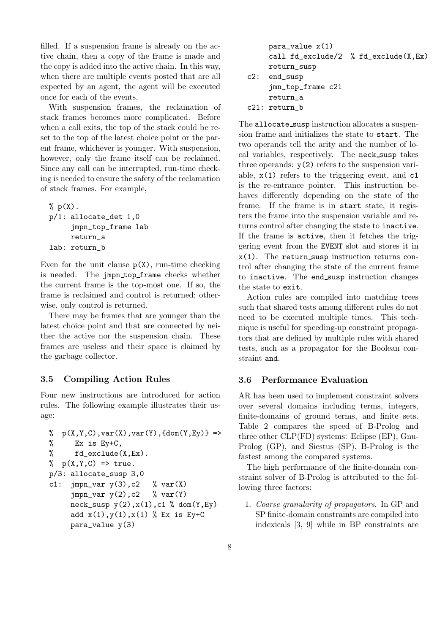filled. If a suspension frame is already on the active chain, then a copy of the frame is made and the copy is added into the active chain. In this way, when there are multiple events posted that are all expected by an agent, the agent will be executed once for each of the events.

With suspension frames, the reclamation of stack frames becomes more complicated. Before when a call exits, the top of the stack could be reset to the top of the latest choice point or the parent frame, whichever is younger. With suspension, however, only the frame itself can be reclaimed. Since any call can be interrupted, run-time checking is needed to ensure the safety of the reclamation of stack frames. For example,

```
\% p(X).
p/1: allocate_det 1,0
     jmpn_top_frame lab
     return_a
lab: return_b
```
Even for the unit clause  $p(X)$ , run-time checking is needed. The jmpn top frame checks whether the current frame is the top-most one. If so, the frame is reclaimed and control is returned; otherwise, only control is returned.

There may be frames that are younger than the latest choice point and that are connected by neither the active nor the suspension chain. These frames are useless and their space is claimed by the garbage collector.

#### **3.5 Compiling Action Rules**

Four new instructions are introduced for action rules. The following example illustrates their usage:

```
\sqrt[6]{p(X,Y,C)}, \text{var}(X), \text{var}(Y), \text{dom}(Y,E_Y) =>
% Ex is Ey+C,
% fd_exclude(X,Ex).
\% p(X,Y,C) => true.
p/3: allocate_susp 3,0
c1: jmpn_var y(3), c2 % var(X)jmpn_var y(2),c2 % var(Y)neck\_susp y(2), x(1), c1 % dom(Y, Ey)add x(1), y(1), x(1) % Ex is Ey+C
     para_value y(3)
```

```
para_value x(1)
     call fd_exclude/2 % fd_exclude(X,Ex)
     return_susp
c2: end_susp
     jmn_top_frame c21
     return_a
c21: return_b
```
The allocate\_susp instruction allocates a suspension frame and initializes the state to start. The two operands tell the arity and the number of local variables, respectively. The neck susp takes three operands:  $y(2)$  refers to the suspension variable,  $x(1)$  refers to the triggering event, and  $c1$ is the re-entrance pointer. This instruction behaves differently depending on the state of the frame. If the frame is in start state, it registers the frame into the suspension variable and returns control after changing the state to inactive. If the frame is active, then it fetches the triggering event from the EVENT slot and stores it in  $x(1)$ . The return susp instruction returns control after changing the state of the current frame to inactive. The end\_susp instruction changes the state to exit.

Action rules are compiled into matching trees such that shared tests among different rules do not need to be executed multiple times. This technique is useful for speeding-up constraint propagators that are defined by multiple rules with shared tests, such as a propagator for the Boolean constraint and.

#### **3.6 Performance Evaluation**

AR has been used to implement constraint solvers over several domains including terms, integers, finite-domains of ground terms, and finite sets. Table 2 compares the speed of B-Prolog and three other CLP(FD) systems: Eclipse (EP), Gnu-Prolog (GP), and Sicstus (SP). B-Prolog is the fastest among the compared systems.

The high performance of the finite-domain constraint solver of B-Prolog is attributed to the following three factors:

1. *Coarse granularity of propagators*. In GP and SP finite-domain constraints are compiled into indexicals [3, 9] while in BP constraints are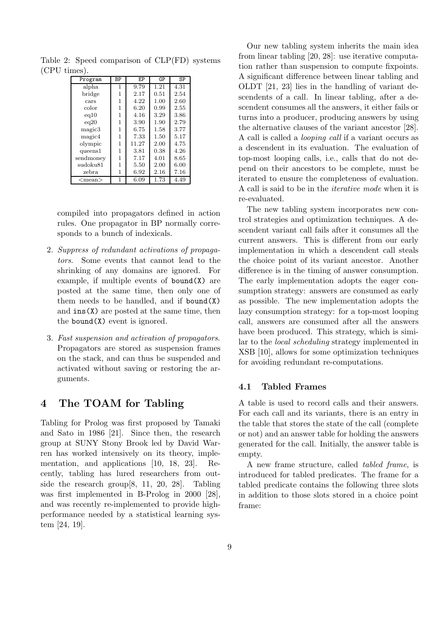| 1111CO J.    |              |       |      |      |
|--------------|--------------|-------|------|------|
| Program      | ΒP           | EP    | GP   | SP   |
| alpha        | 1            | 9.79  | 1.21 | 4.31 |
| bridge       | 1            | 2.17  | 0.51 | 2.54 |
| cars         | 1            | 4.22  | 1.00 | 2.60 |
| color        | 1            | 6.20  | 0.99 | 2.55 |
| eq10         | $\mathbf{1}$ | 4.16  | 3.29 | 3.86 |
| eq20         | $\mathbf{1}$ | 3.90  | 1.90 | 2.79 |
| magic3       | $\mathbf{1}$ | 6.75  | 1.58 | 3.77 |
| magic4       | 1            | 7.33  | 1.50 | 5.17 |
| olympic      | 1            | 11.27 | 2.00 | 4.75 |
| queens1      | $\mathbf{1}$ | 3.81  | 0.38 | 4.26 |
| sendmoney    | 1            | 7.17  | 4.01 | 8.65 |
| sudoku81     | 1            | 5.50  | 2.00 | 6.00 |
| zebra        | 1            | 6.92  | 2.16 | 7.16 |
| $<$ mean $>$ | 1            | 6.09  | 1.73 | 4.49 |

Table 2: Speed comparison of CLP(FD) systems (CPU times).

compiled into propagators defined in action rules. One propagator in BP normally corresponds to a bunch of indexicals.

- 2. *Suppress of redundant activations of propagators*. Some events that cannot lead to the shrinking of any domains are ignored. For example, if multiple events of  $bound(X)$  are posted at the same time, then only one of them needs to be handled, and if bound $(X)$ and  $ins(X)$  are posted at the same time, then the bound(X) event is ignored.
- 3. *Fast suspension and activation of propagators*. Propagators are stored as suspension frames on the stack, and can thus be suspended and activated without saving or restoring the arguments.

# **4 The TOAM for Tabling**

Tabling for Prolog was first proposed by Tamaki and Sato in 1986 [21]. Since then, the research group at SUNY Stony Brook led by David Warren has worked intensively on its theory, implementation, and applications [10, 18, 23]. Recently, tabling has lured researchers from outside the research group[8, 11, 20, 28]. Tabling was first implemented in B-Prolog in 2000 [28], and was recently re-implemented to provide highperformance needed by a statistical learning system [24, 19].

Our new tabling system inherits the main idea from linear tabling [20, 28]: use iterative computation rather than suspension to compute fixpoints. A significant difference between linear tabling and OLDT [21, 23] lies in the handling of variant descendents of a call. In linear tabling, after a descendent consumes all the answers, it either fails or turns into a producer, producing answers by using the alternative clauses of the variant ancestor [28]. A call is called a *looping call* if a variant occurs as a descendent in its evaluation. The evaluation of top-most looping calls, i.e., calls that do not depend on their ancestors to be complete, must be iterated to ensure the completeness of evaluation. A call is said to be in the *iterative mode* when it is re-evaluated.

The new tabling system incorporates new control strategies and optimization techniques. A descendent variant call fails after it consumes all the current answers. This is different from our early implementation in which a descendent call steals the choice point of its variant ancestor. Another difference is in the timing of answer consumption. The early implementation adopts the eager consumption strategy: answers are consumed as early as possible. The new implementation adopts the lazy consumption strategy: for a top-most looping call, answers are consumed after all the answers have been produced. This strategy, which is similar to the *local scheduling* strategy implemented in XSB [10], allows for some optimization techniques for avoiding redundant re-computations.

#### **4.1 Tabled Frames**

A table is used to record calls and their answers. For each call and its variants, there is an entry in the table that stores the state of the call (complete or not) and an answer table for holding the answers generated for the call. Initially, the answer table is empty.

A new frame structure, called *tabled frame*, is introduced for tabled predicates. The frame for a tabled predicate contains the following three slots in addition to those slots stored in a choice point frame: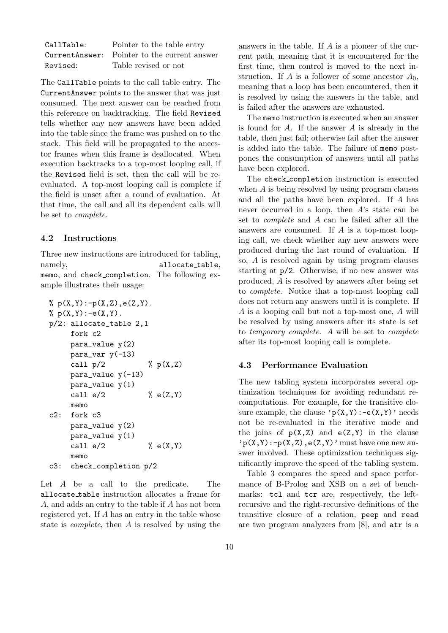| CallTable: | Pointer to the table entry                    |
|------------|-----------------------------------------------|
|            | Current Answer: Pointer to the current answer |
| Revised:   | Table revised or not                          |

The CallTable points to the call table entry. The CurrentAnswer points to the answer that was just consumed. The next answer can be reached from this reference on backtracking. The field Revised tells whether any new answers have been added into the table since the frame was pushed on to the stack. This field will be propagated to the ancestor frames when this frame is deallocated. When execution backtracks to a top-most looping call, if the Revised field is set, then the call will be reevaluated. A top-most looping call is complete if the field is unset after a round of evaluation. At that time, the call and all its dependent calls will be set to *complete*.

#### **4.2 Instructions**

Three new instructions are introduced for tabling, namely, allocate\_table, memo, and check completion. The following example illustrates their usage:

```
\% p(X,Y) : -p(X,Z), e(Z, Y).
\% p(X,Y) : -e(X,Y).
p/2: allocate_table 2,1
    fork c2
    para_value y(2)
    para\_var y(-13)
    call p/2 % p(X,Z)para_value y(-13)para_value y(1)
    call e/2 % e(Z,Y)memo
c2: fork c3
    para_value y(2)
    para_value y(1)
    call e/2 % e(X,Y)memo
c3: check_completion p/2
```
Let A be a call to the predicate. The allocate table instruction allocates a frame for A, and adds an entry to the table if A has not been registered yet. If A has an entry in the table whose state is *complete*, then A is resolved by using the

answers in the table. If A is a pioneer of the current path, meaning that it is encountered for the first time, then control is moved to the next instruction. If A is a follower of some ancestor  $A_0$ , meaning that a loop has been encountered, then it is resolved by using the answers in the table, and is failed after the answers are exhausted.

The memo instruction is executed when an answer is found for  $A$ . If the answer  $A$  is already in the table, then just fail; otherwise fail after the answer is added into the table. The failure of memo postpones the consumption of answers until all paths have been explored.

The check completion instruction is executed when A is being resolved by using program clauses and all the paths have been explored. If A has never occurred in a loop, then  $A$ 's state can be set to *complete* and A can be failed after all the answers are consumed. If A is a top-most looping call, we check whether any new answers were produced during the last round of evaluation. If so, A is resolved again by using program clauses starting at p/2. Otherwise, if no new answer was produced, A is resolved by answers after being set to *complete*. Notice that a top-most looping call does not return any answers until it is complete. If A is a looping call but not a top-most one, A will be resolved by using answers after its state is set to *temporary complete*. A will be set to *complete* after its top-most looping call is complete.

#### **4.3 Performance Evaluation**

The new tabling system incorporates several optimization techniques for avoiding redundant recomputations. For example, for the transitive closure example, the clause  $\gamma p(X,Y) : -e(X,Y)$  needs not be re-evaluated in the iterative mode and the joins of  $p(X,Z)$  and  $e(Z,Y)$  in the clause  $p(X,Y):-p(X,Z),e(Z,Y)$  must have one new answer involved. These optimization techniques significantly improve the speed of the tabling system.

Table 3 compares the speed and space performance of B-Prolog and XSB on a set of benchmarks: tcl and tcr are, respectively, the leftrecursive and the right-recursive definitions of the transitive closure of a relation, peep and read are two program analyzers from [8], and atr is a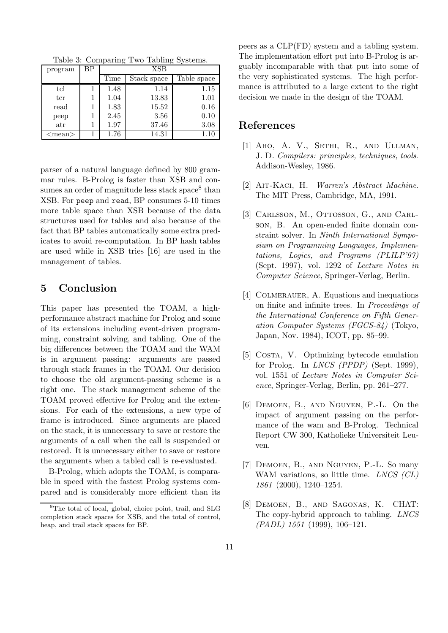Table 3: Comparing Two Tabling Systems.

| program      | ВP | <b>XSB</b> |             |             |  |
|--------------|----|------------|-------------|-------------|--|
|              |    | Time       | Stack space | Table space |  |
| $_{\rm tcl}$ |    | 1.48       | 1.14        | 1.15        |  |
| tcr          |    | 1.04       | 13.83       | 1.01        |  |
| read         |    | 1.83       | 15.52       | 0.16        |  |
| peep         |    | 2.45       | 3.56        | 0.10        |  |
| atr          |    | 1.97       | 37.46       | 3.08        |  |
| $<$ mean $>$ |    | 1.76       | 14.31       | 1.10        |  |

parser of a natural language defined by 800 grammar rules. B-Prolog is faster than XSB and consumes an order of magnitude less stack space<sup>8</sup> than XSB. For peep and read, BP consumes 5-10 times more table space than XSB because of the data structures used for tables and also because of the fact that BP tables automatically some extra predicates to avoid re-computation. In BP hash tables are used while in XSB tries [16] are used in the management of tables.

# **5 Conclusion**

This paper has presented the TOAM, a highperformance abstract machine for Prolog and some of its extensions including event-driven programming, constraint solving, and tabling. One of the big differences between the TOAM and the WAM is in argument passing: arguments are passed through stack frames in the TOAM. Our decision to choose the old argument-passing scheme is a right one. The stack management scheme of the TOAM proved effective for Prolog and the extensions. For each of the extensions, a new type of frame is introduced. Since arguments are placed on the stack, it is unnecessary to save or restore the arguments of a call when the call is suspended or restored. It is unnecessary either to save or restore the arguments when a tabled call is re-evaluated.

B-Prolog, which adopts the TOAM, is comparable in speed with the fastest Prolog systems compared and is considerably more efficient than its

peers as a CLP(FD) system and a tabling system. The implementation effort put into B-Prolog is arguably incomparable with that put into some of the very sophisticated systems. The high performance is attributed to a large extent to the right decision we made in the design of the TOAM.

### **References**

- [1] Aho, A. V., Sethi, R., and Ullman, J. D. *Compilers: principles, techniques, tools*. Addison-Wesley, 1986.
- [2] Ait-Kaci, H. *Warren's Abstract Machine*. The MIT Press, Cambridge, MA, 1991.
- [3] Carlsson, M., Ottosson, G., and Carlson, B. An open-ended finite domain constraint solver. In *Ninth International Symposium on Programming Languages, Implementations, Logics, and Programs (PLILP'97)* (Sept. 1997), vol. 1292 of *Lecture Notes in Computer Science*, Springer-Verlag, Berlin.
- [4] COLMERAUER, A. Equations and inequations on finite and infinite trees. In *Proceedings of the International Conference on Fifth Generation Computer Systems (FGCS-84)* (Tokyo, Japan, Nov. 1984), ICOT, pp. 85–99.
- [5] COSTA, V. Optimizing bytecode emulation for Prolog. In *LNCS (PPDP)* (Sept. 1999), vol. 1551 of *Lecture Notes in Computer Science*, Springer-Verlag, Berlin, pp. 261–277.
- [6] Demoen, B., and Nguyen, P.-L. On the impact of argument passing on the performance of the wam and B-Prolog. Technical Report CW 300, Katholieke Universiteit Leuven.
- [7] Demoen, B., and Nguyen, P.-L. So many WAM variations, so little time. *LNCS (CL) 1861* (2000), 1240–1254.
- [8] Demoen, B., and Sagonas, K. CHAT: The copy-hybrid approach to tabling. *LNCS (PADL) 1551* (1999), 106–121.

<sup>8</sup>The total of local, global, choice point, trail, and SLG completion stack spaces for XSB, and the total of control, heap, and trail stack spaces for BP.